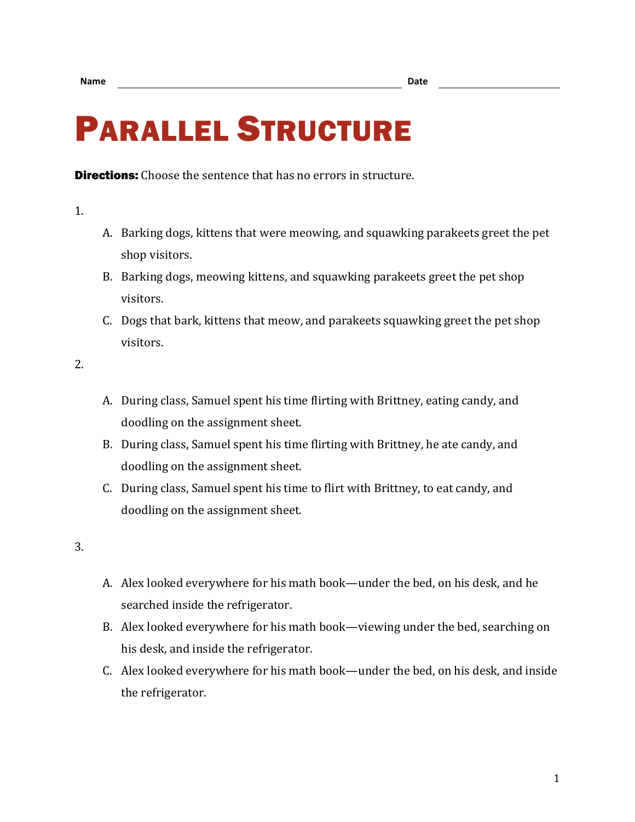## PARALLEL STRUCTURE

**Directions:** Choose the sentence that has no errors in structure.

1.

- A. Barking dogs, kittens that were meowing, and squawking parakeets greet the pet shop visitors.
- B. Barking dogs, meowing kittens, and squawking parakeets greet the pet shop visitors.
- C. Dogs that bark, kittens that meow, and parakeets squawking greet the pet shop visitors.

2.

- A. During class, Samuel spent his time flirting with Brittney, eating candy, and doodling on the assignment sheet.
- B. During class, Samuel spent his time flirting with Brittney, he ate candy, and doodling on the assignment sheet.
- C. During class, Samuel spent his time to flirt with Brittney, to eat candy, and doodling on the assignment sheet.

3.

- A. Alex looked everywhere for his math book—under the bed, on his desk, and he searched inside the refrigerator.
- B. Alex looked everywhere for his math book—viewing under the bed, searching on his desk, and inside the refrigerator.
- C. Alex looked everywhere for his math book—under the bed, on his desk, and inside the refrigerator.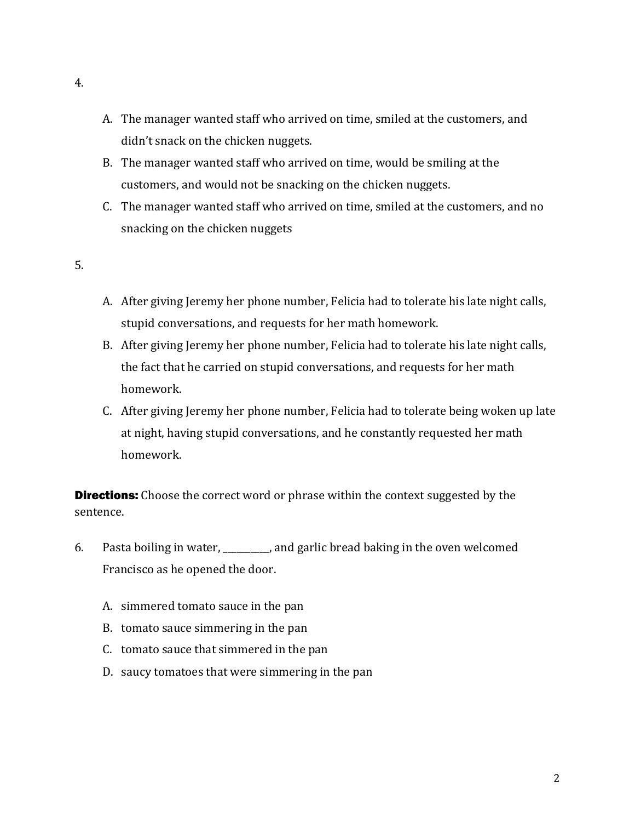- A. The manager wanted staff who arrived on time, smiled at the customers, and didn't snack on the chicken nuggets.
- B. The manager wanted staff who arrived on time, would be smiling at the customers, and would not be snacking on the chicken nuggets.
- C. The manager wanted staff who arrived on time, smiled at the customers, and no snacking on the chicken nuggets
- 5.
- A. After giving Jeremy her phone number, Felicia had to tolerate his late night calls, stupid conversations, and requests for her math homework.
- B. After giving Jeremy her phone number, Felicia had to tolerate his late night calls, the fact that he carried on stupid conversations, and requests for her math homework.
- C. After giving Jeremy her phone number, Felicia had to tolerate being woken up late at night, having stupid conversations, and he constantly requested her math homework.

**Directions:** Choose the correct word or phrase within the context suggested by the sentence.

- 6. Pasta boiling in water, \_\_\_\_\_\_\_\_\_\_, and garlic bread baking in the oven welcomed Francisco as he opened the door.
	- A. simmered tomato sauce in the pan
	- B. tomato sauce simmering in the pan
	- C. tomato sauce that simmered in the pan
	- D. saucy tomatoes that were simmering in the pan